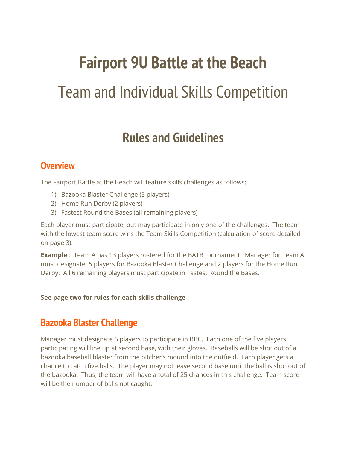## **Fairport 9U Battle at the Beach**

# Team and Individual Skills Competition

## **Rules and Guidelines**

#### **Overview**

The Fairport Battle at the Beach will feature skills challenges as follows:

- 1) Bazooka Blaster Challenge (5 players)
- 2) Home Run Derby (2 players)
- 3) Fastest Round the Bases (all remaining players)

Each player must participate, but may participate in only one of the challenges. The team with the lowest team score wins the Team Skills Competition (calculation of score detailed on page 3).

**Example** : Team A has 13 players rostered for the BATB tournament. Manager for Team A must designate 5 players for Bazooka Blaster Challenge and 2 players for the Home Run Derby. All 6 remaining players must participate in Fastest Round the Bases.

**See page two for rules for each skills challenge**

#### **Bazooka Blaster Challenge**

Manager must designate 5 players to participate in BBC. Each one of the five players participating will line up at second base, with their gloves. Baseballs will be shot out of a bazooka baseball blaster from the pitcher's mound into the outfield. Each player gets a chance to catch five balls. The player may not leave second base until the ball is shot out of the bazooka. Thus, the team will have a total of 25 chances in this challenge. Team score will be the number of balls not caught.